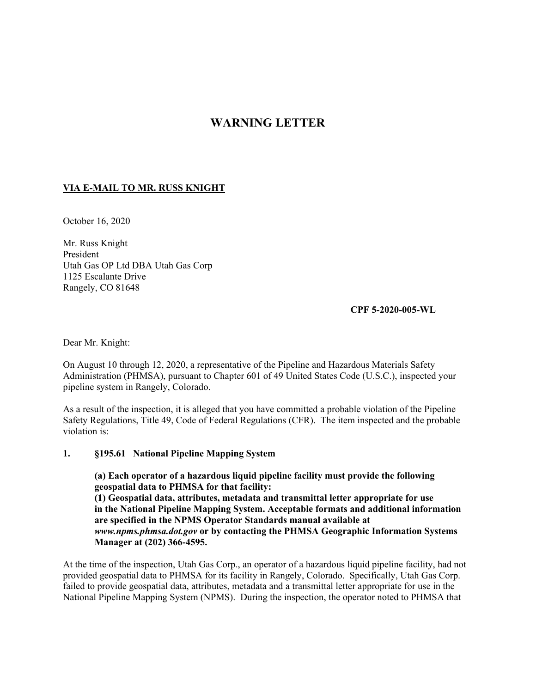## **WARNING LETTER**

## **VIA E-MAIL TO MR. RUSS KNIGHT**

October 16, 2020

Mr. Russ Knight President Utah Gas OP Ltd DBA Utah Gas Corp 1125 Escalante Drive Rangely, CO 81648

**CPF 5-2020-005-WL** 

Dear Mr. Knight:

On August 10 through 12, 2020, a representative of the Pipeline and Hazardous Materials Safety Administration (PHMSA), pursuant to Chapter 601 of 49 United States Code (U.S.C.), inspected your pipeline system in Rangely, Colorado.

As a result of the inspection, it is alleged that you have committed a probable violation of the Pipeline Safety Regulations, Title 49, Code of Federal Regulations (CFR). The item inspected and the probable violation is:

## **1. §195.61 National Pipeline Mapping System**

**(a) Each operator of a hazardous liquid pipeline facility must provide the following geospatial data to PHMSA for that facility: (1) Geospatial data, attributes, metadata and transmittal letter appropriate for use in the National Pipeline Mapping System. Acceptable formats and additional information are specified in the NPMS Operator Standards manual available at**  *<www.npms.phmsa.dot.gov>* **or by contacting the PHMSA Geographic Information Systems Manager at (202) 366-4595.** 

At the time of the inspection, Utah Gas Corp., an operator of a hazardous liquid pipeline facility, had not provided geospatial data to PHMSA for its facility in Rangely, Colorado. Specifically, Utah Gas Corp. failed to provide geospatial data, attributes, metadata and a transmittal letter appropriate for use in the National Pipeline Mapping System (NPMS). During the inspection, the operator noted to PHMSA that